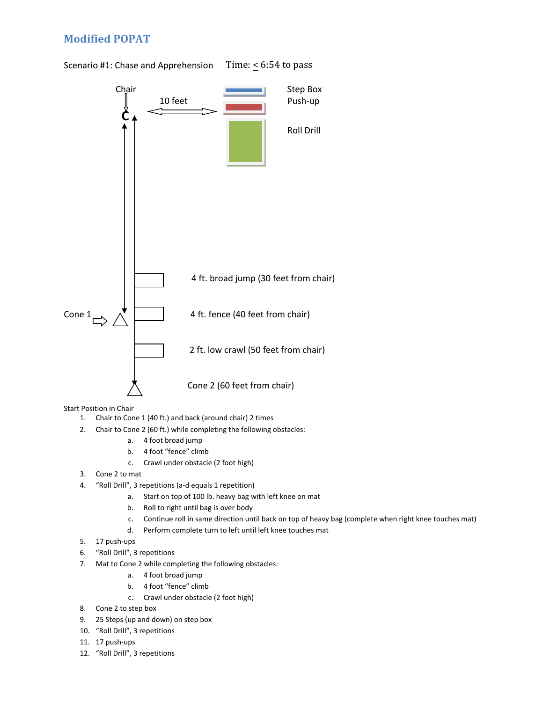## **Modified POPAT**





Start Position in Chair

- 1. Chair to Cone 1 (40 ft.) and back (around chair) 2 times
- 2. Chair to Cone 2 (60 ft.) while completing the following obstacles:
	- a. 4 foot broad jump
	- b. 4 foot "fence" climb
	- c. Crawl under obstacle (2 foot high)
- 3. Cone 2 to mat
- 4. "Roll Drill", 3 repetitions (a-d equals 1 repetition)
	- a. Start on top of 100 lb. heavy bag with left knee on mat
	- b. Roll to right until bag is over body
	- c. Continue roll in same direction until back on top of heavy bag (complete when right knee touches mat)
	- d. Perform complete turn to left until left knee touches mat
- 5. 17 push-ups
- 6. "Roll Drill", 3 repetitions
- 7. Mat to Cone 2 while completing the following obstacles:
	- a. 4 foot broad jump
	- b. 4 foot "fence" climb
	- c. Crawl under obstacle (2 foot high)
- 8. Cone 2 to step box
- 9. 25 Steps (up and down) on step box
- 10. "Roll Drill", 3 repetitions
- 11. 17 push-ups
- 12. "Roll Drill", 3 repetitions